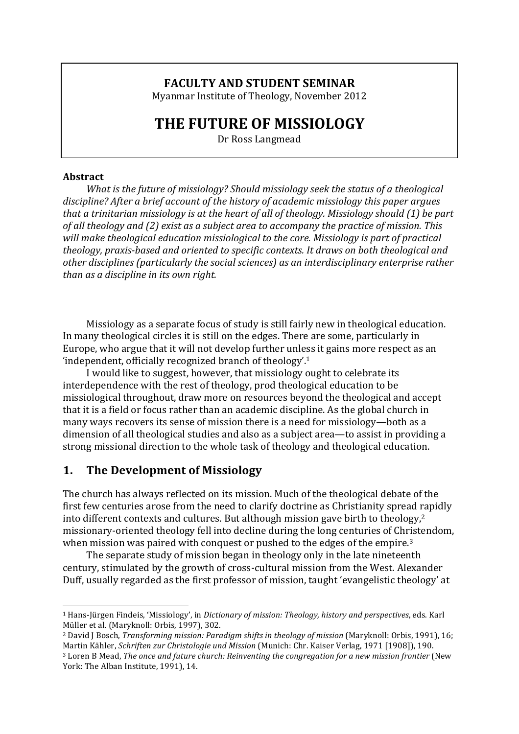### **FACULTY AND STUDENT SEMINAR**

Myanmar Institute of Theology, November 2012

# **THE FUTURE OF MISSIOLOGY**

Dr Ross Langmead

#### **Abstract**

*What is the future of missiology? Should missiology seek the status of a theological* discipline? After a brief account of the history of academic missiology this paper argues *that a trinitarian missiology is at the heart of all of theology. Missiology should* (1) *be part* of all theology and (2) exist as a subject area to accompany the practice of mission. This *will make theological education missiological to the core. Missiology is part of practical* theology, praxis-based and oriented to specific contexts. It draws on both theological and other disciplines (particularly the social sciences) as an interdisciplinary enterprise rather *than* as a discipline in its own right.

Missiology as a separate focus of study is still fairly new in theological education. In many theological circles it is still on the edges. There are some, particularly in Europe, who argue that it will not develop further unless it gains more respect as an 'independent, officially recognized branch of theology'.<sup>1</sup>

I would like to suggest, however, that missiology ought to celebrate its interdependence with the rest of theology, prod theological education to be missiological throughout, draw more on resources beyond the theological and accept that it is a field or focus rather than an academic discipline. As the global church in many ways recovers its sense of mission there is a need for missiology—both as a dimension of all theological studies and also as a subject area—to assist in providing a strong missional direction to the whole task of theology and theological education.

### **1.** The Development of Missiology

 

The church has always reflected on its mission. Much of the theological debate of the first few centuries arose from the need to clarify doctrine as Christianity spread rapidly into different contexts and cultures. But although mission gave birth to theology,<sup>2</sup> missionary-oriented theology fell into decline during the long centuries of Christendom, when mission was paired with conquest or pushed to the edges of the empire.<sup>3</sup>

The separate study of mission began in theology only in the late nineteenth century, stimulated by the growth of cross-cultural mission from the West. Alexander Duff, usually regarded as the first professor of mission, taught 'evangelistic theology' at

<sup>&</sup>lt;sup>1</sup> Hans-Jürgen Findeis, 'Missiology', in *Dictionary of mission: Theology, history and perspectives*, eds. Karl Müller et al. (Maryknoll: Orbis, 1997), 302.

<sup>&</sup>lt;sup>2</sup> David J Bosch, *Transforming mission: Paradigm shifts in theology of mission* (Maryknoll: Orbis, 1991), 16; Martin Kähler, *Schriften zur Christologie und Mission* (Munich: Chr. Kaiser Verlag, 1971 [1908]), 190. <sup>3</sup> Loren B Mead, *The once and future church: Reinventing the congregation for a new mission frontier* (New York: The Alban Institute, 1991), 14.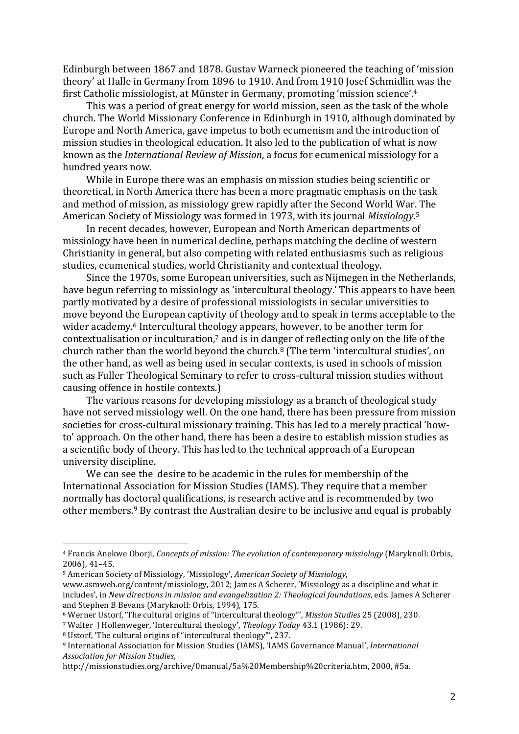Edinburgh between 1867 and 1878. Gustav Warneck pioneered the teaching of 'mission theory' at Halle in Germany from 1896 to 1910. And from 1910 Josef Schmidlin was the first Catholic missiologist, at Münster in Germany, promoting 'mission science'.<sup>4</sup>

This was a period of great energy for world mission, seen as the task of the whole church. The World Missionary Conference in Edinburgh in 1910, although dominated by Europe and North America, gave impetus to both ecumenism and the introduction of mission studies in theological education. It also led to the publication of what is now known as the *International Review of Mission*, a focus for ecumenical missiology for a hundred years now.

While in Europe there was an emphasis on mission studies being scientific or theoretical, in North America there has been a more pragmatic emphasis on the task and method of mission, as missiology grew rapidly after the Second World War. The American Society of Missiology was formed in 1973, with its journal *Missiology*.<sup>5</sup>

In recent decades, however, European and North American departments of missiology have been in numerical decline, perhaps matching the decline of western Christianity in general, but also competing with related enthusiasms such as religious studies, ecumenical studies, world Christianity and contextual theology.

Since the 1970s, some European universities, such as Nijmegen in the Netherlands, have begun referring to missiology as 'intercultural theology.' This appears to have been partly motivated by a desire of professional missiologists in secular universities to move beyond the European captivity of theology and to speak in terms acceptable to the wider academy.<sup>6</sup> Intercultural theology appears, however, to be another term for contextualisation or inculturation,<sup>7</sup> and is in danger of reflecting only on the life of the church rather than the world beyond the church.<sup>8</sup> (The term 'intercultural studies', on the other hand, as well as being used in secular contexts, is used in schools of mission such as Fuller Theological Seminary to refer to cross-cultural mission studies without causing offence in hostile contexts.)

The various reasons for developing missiology as a branch of theological study have not served missiology well. On the one hand, there has been pressure from mission societies for cross-cultural missionary training. This has led to a merely practical 'howto' approach. On the other hand, there has been a desire to establish mission studies as a scientific body of theory. This has led to the technical approach of a European university discipline.

We can see the desire to be academic in the rules for membership of the International Association for Mission Studies (IAMS). They require that a member normally has doctoral qualifications, is research active and is recommended by two other members.<sup>9</sup> By contrast the Australian desire to be inclusive and equal is probably

<sup>&</sup>lt;sup>4</sup> Francis Anekwe Oborji, *Concepts of mission: The evolution of contemporary missiology* (Maryknoll: Orbis, 2006), 41–45.

<sup>&</sup>lt;sup>5</sup> American Society of Missiology, 'Missiology', *American Society of Missiology*,

www.asmweb.org/content/missiology, 2012; James A Scherer, 'Missiology as a discipline and what it includes', in *New directions in mission and evangelization 2: Theological foundations*, eds. James A Scherer and Stephen B Bevans (Maryknoll: Orbis, 1994), 175.

<sup>&</sup>lt;sup>6</sup> Werner Ustorf, 'The cultural origins of "intercultural theology"', *Mission Studies* 25 (2008), 230.

<sup>&</sup>lt;sup>7</sup> Walter J Hollenweger, 'Intercultural theology', *Theology Today* 43.1 (1986): 29.

 $8$  Ustorf, 'The cultural origins of "intercultural theology"', 237.

<sup>&</sup>lt;sup>9</sup> International Association for Mission Studies (IAMS), 'IAMS Governance Manual', *International Association for Mission Studies*, 

http://missionstudies.org/archive/0manual/5a%20Membership%20criteria.htm, 2000, #5a.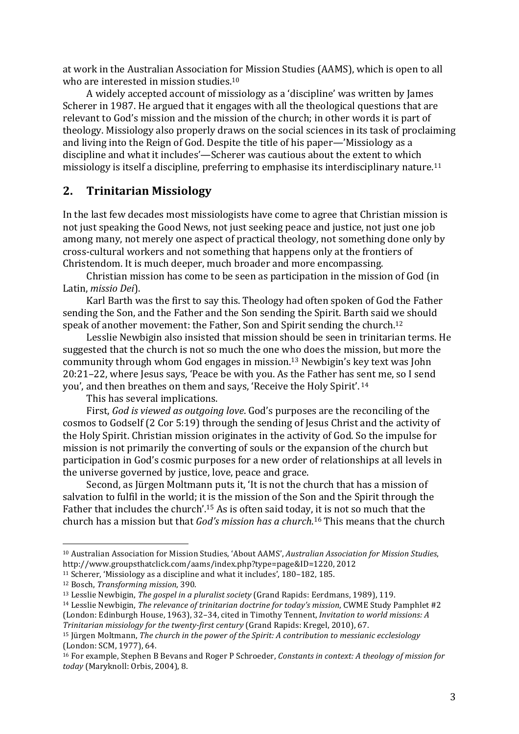at work in the Australian Association for Mission Studies (AAMS), which is open to all who are interested in mission studies. $10$ 

A widely accepted account of missiology as a 'discipline' was written by James Scherer in 1987. He argued that it engages with all the theological questions that are relevant to God's mission and the mission of the church; in other words it is part of theology. Missiology also properly draws on the social sciences in its task of proclaiming and living into the Reign of God. Despite the title of his paper—'Missiology as a discipline and what it includes'—Scherer was cautious about the extent to which missiology is itself a discipline, preferring to emphasise its interdisciplinary nature.<sup>11</sup>

## **2. Trinitarian Missiology**

In the last few decades most missiologists have come to agree that Christian mission is not just speaking the Good News, not just seeking peace and justice, not just one job among many, not merely one aspect of practical theology, not something done only by cross-cultural workers and not something that happens only at the frontiers of Christendom. It is much deeper, much broader and more encompassing.

Christian mission has come to be seen as participation in the mission of God (in Latin, *missio Dei*).

Karl Barth was the first to say this. Theology had often spoken of God the Father sending the Son, and the Father and the Son sending the Spirit. Barth said we should speak of another movement: the Father, Son and Spirit sending the church.<sup>12</sup>

Lesslie Newbigin also insisted that mission should be seen in trinitarian terms. He suggested that the church is not so much the one who does the mission, but more the community through whom God engages in mission.<sup>13</sup> Newbigin's key text was John  $20:21-22$ , where Jesus says, 'Peace be with you. As the Father has sent me, so I send you', and then breathes on them and says, 'Receive the Holy Spirit'. <sup>14</sup>

This has several implications.

First, God is viewed as outgoing love. God's purposes are the reconciling of the cosmos to Godself (2 Cor 5:19) through the sending of Jesus Christ and the activity of the Holy Spirit. Christian mission originates in the activity of God. So the impulse for mission is not primarily the converting of souls or the expansion of the church but participation in God's cosmic purposes for a new order of relationships at all levels in the universe governed by justice, love, peace and grace.

Second, as Jürgen Moltmann puts it, 'It is not the church that has a mission of salvation to fulfil in the world; it is the mission of the Son and the Spirit through the Father that includes the church'.<sup>15</sup> As is often said today, it is not so much that the church has a mission but that *God's mission has a church*.<sup>16</sup> This means that the church

<sup>&</sup>lt;sup>10</sup> Australian Association for Mission Studies, 'About AAMS', *Australian Association for Mission Studies*, http://www.groupsthatclick.com/aams/index.php?type=page&ID=1220, 2012

<sup>&</sup>lt;sup>11</sup> Scherer, 'Missiology as a discipline and what it includes', 180-182, 185.

<sup>&</sup>lt;sup>12</sup> Bosch, *Transforming mission*, 390.

<sup>&</sup>lt;sup>13</sup> Lesslie Newbigin, *The gospel in a pluralist society* (Grand Rapids: Eerdmans, 1989), 119.

<sup>&</sup>lt;sup>14</sup> Lesslie Newbigin, *The relevance of trinitarian doctrine for today's mission*, CWME Study Pamphlet #2 (London: Edinburgh House, 1963), 32-34, cited in Timothy Tennent, *Invitation to world missions: A Trinitarian missiology for the twenty-first century* (Grand Rapids: Kregel, 2010), 67.

<sup>&</sup>lt;sup>15</sup> Jürgen Moltmann, *The church in the power of the Spirit: A contribution to messianic ecclesiology* (London: SCM, 1977), 64.

<sup>&</sup>lt;sup>16</sup> For example, Stephen B Bevans and Roger P Schroeder, *Constants in context: A theology of mission for* today (Maryknoll: Orbis, 2004), 8.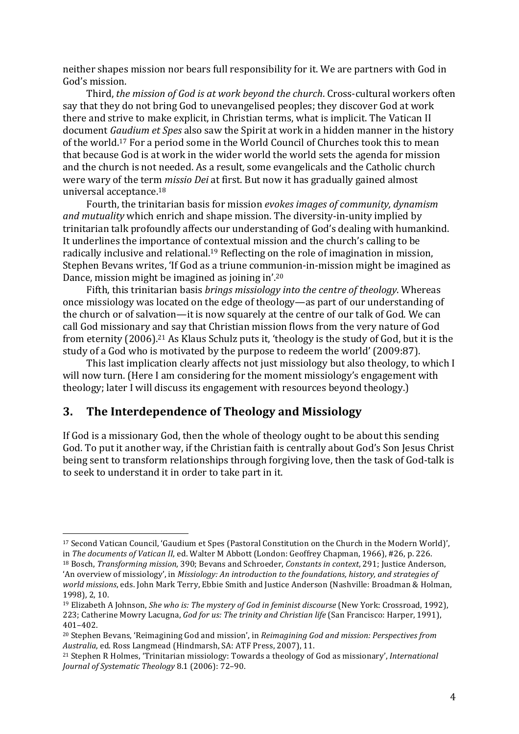neither shapes mission nor bears full responsibility for it. We are partners with God in God's mission.

Third, *the mission of God is at work beyond the church*. Cross-cultural workers often say that they do not bring God to unevangelised peoples; they discover God at work there and strive to make explicit, in Christian terms, what is implicit. The Vatican II document *Gaudium et Spes* also saw the Spirit at work in a hidden manner in the history of the world.<sup>17</sup> For a period some in the World Council of Churches took this to mean that because God is at work in the wider world the world sets the agenda for mission and the church is not needed. As a result, some evangelicals and the Catholic church were wary of the term *missio Dei* at first. But now it has gradually gained almost universal acceptance.<sup>18</sup>

Fourth, the trinitarian basis for mission *evokes images of community, dynamism and mutuality* which enrich and shape mission. The diversity-in-unity implied by trinitarian talk profoundly affects our understanding of God's dealing with humankind. It underlines the importance of contextual mission and the church's calling to be radically inclusive and relational.<sup>19</sup> Reflecting on the role of imagination in mission, Stephen Bevans writes, 'If God as a triune communion-in-mission might be imagined as Dance, mission might be imagined as joining in'.<sup>20</sup>

Fifth, this trinitarian basis *brings missiology into the centre of theology*. Whereas once missiology was located on the edge of theology—as part of our understanding of the church or of salvation—it is now squarely at the centre of our talk of God. We can call God missionary and say that Christian mission flows from the very nature of God from eternity (2006).<sup>21</sup> As Klaus Schulz puts it, 'theology is the study of God, but it is the study of a God who is motivated by the purpose to redeem the world' (2009:87).

This last implication clearly affects not just missiology but also theology, to which I will now turn. (Here I am considering for the moment missiology's engagement with theology; later I will discuss its engagement with resources beyond theology.)

### **3.** The Interdependence of Theology and Missiology

 

If God is a missionary God, then the whole of theology ought to be about this sending God. To put it another way, if the Christian faith is centrally about God's Son Jesus Christ being sent to transform relationships through forgiving love, then the task of God-talk is to seek to understand it in order to take part in it.

<sup>&</sup>lt;sup>17</sup> Second Vatican Council, 'Gaudium et Spes (Pastoral Constitution on the Church in the Modern World)', in The documents of Vatican II, ed. Walter M Abbott (London: Geoffrey Chapman, 1966), #26, p. 226.

<sup>&</sup>lt;sup>18</sup> Bosch, *Transforming mission*, 390; Bevans and Schroeder, *Constants in context*, 291; Justice Anderson, 'An overview of missiology', in *Missiology: An introduction to the foundations, history, and strategies of* world missions, eds. John Mark Terry, Ebbie Smith and Justice Anderson (Nashville: Broadman & Holman, 1998), 2, 10.

<sup>&</sup>lt;sup>19</sup> Elizabeth A Johnson, *She who is: The mystery of God in feminist discourse* (New York: Crossroad, 1992), 223; Catherine Mowry Lacugna, *God for us: The trinity and Christian life* (San Francisco: Harper, 1991), 401–402.

<sup>&</sup>lt;sup>20</sup> Stephen Bevans, 'Reimagining God and mission', in *Reimagining God and mission: Perspectives from Australia*, ed. Ross Langmead (Hindmarsh, SA: ATF Press, 2007), 11.

<sup>&</sup>lt;sup>21</sup> Stephen R Holmes, 'Trinitarian missiology: Towards a theology of God as missionary', *International* Journal of Systematic Theology 8.1 (2006): 72-90.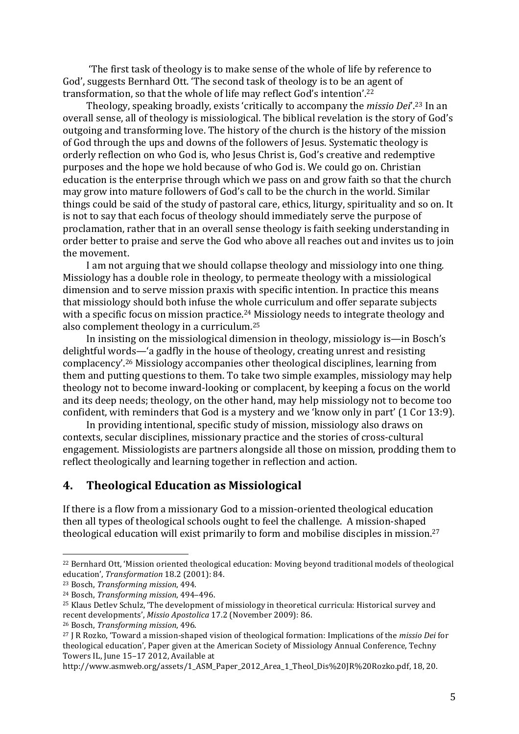The first task of theology is to make sense of the whole of life by reference to God', suggests Bernhard Ott. 'The second task of theology is to be an agent of transformation, so that the whole of life may reflect God's intention'.<sup>22</sup>

Theology, speaking broadly, exists 'critically to accompany the *missio Dei*'.<sup>23</sup> In an overall sense, all of theology is missiological. The biblical revelation is the story of God's outgoing and transforming love. The history of the church is the history of the mission of God through the ups and downs of the followers of Jesus. Systematic theology is orderly reflection on who God is, who Jesus Christ is, God's creative and redemptive purposes and the hope we hold because of who God is. We could go on. Christian education is the enterprise through which we pass on and grow faith so that the church may grow into mature followers of God's call to be the church in the world. Similar things could be said of the study of pastoral care, ethics, liturgy, spirituality and so on. It is not to say that each focus of theology should immediately serve the purpose of proclamation, rather that in an overall sense theology is faith seeking understanding in order better to praise and serve the God who above all reaches out and invites us to join the movement.

I am not arguing that we should collapse theology and missiology into one thing. Missiology has a double role in theology, to permeate theology with a missiological dimension and to serve mission praxis with specific intention. In practice this means that missiology should both infuse the whole curriculum and offer separate subjects with a specific focus on mission practice.<sup>24</sup> Missiology needs to integrate theology and also complement theology in a curriculum.<sup>25</sup>

In insisting on the missiological dimension in theology, missiology is—in Bosch's delightful words—'a gadfly in the house of theology, creating unrest and resisting complacency'.<sup>26</sup> Missiology accompanies other theological disciplines, learning from them and putting questions to them. To take two simple examples, missiology may help theology not to become inward-looking or complacent, by keeping a focus on the world and its deep needs; theology, on the other hand, may help missiology not to become too confident, with reminders that God is a mystery and we 'know only in part' (1 Cor 13:9).

In providing intentional, specific study of mission, missiology also draws on contexts, secular disciplines, missionary practice and the stories of cross-cultural engagement. Missiologists are partners alongside all those on mission, prodding them to reflect theologically and learning together in reflection and action.

### **4. Theological Education as Missiological**

If there is a flow from a missionary God to a mission-oriented theological education then all types of theological schools ought to feel the challenge. A mission-shaped theological education will exist primarily to form and mobilise disciples in mission.<sup>27</sup>

<sup>&</sup>lt;sup>22</sup> Bernhard Ott, 'Mission oriented theological education: Moving beyond traditional models of theological education', *Transformation* 18.2 (2001): 84.

<sup>&</sup>lt;sup>23</sup> Bosch, *Transforming mission*, 494.

<sup>&</sup>lt;sup>24</sup> Bosch, *Transforming mission*, 494-496.

<sup>&</sup>lt;sup>25</sup> Klaus Detlev Schulz, 'The development of missiology in theoretical curricula: Historical survey and recent developments', *Missio Apostolica* 17.2 (November 2009): 86.

<sup>&</sup>lt;sup>26</sup> Bosch, *Transforming mission*, 496.

<sup>&</sup>lt;sup>27</sup> J R Rozko, 'Toward a mission-shaped vision of theological formation: Implications of the *missio Dei* for theological education', Paper given at the American Society of Missiology Annual Conference, Techny Towers IL, June 15-17 2012, Available at

http://www.asmweb.org/assets/1\_ASM\_Paper\_2012\_Area\_1\_Theol\_Dis%20JR%20Rozko.pdf, 18, 20.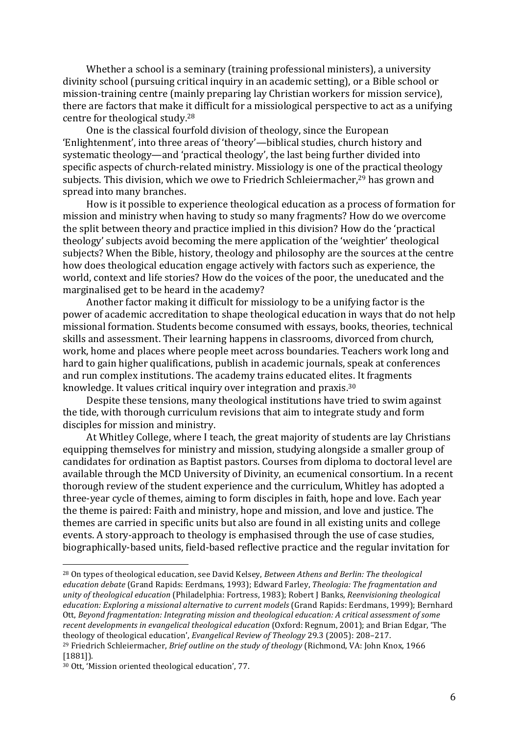Whether a school is a seminary (training professional ministers), a university divinity school (pursuing critical inquiry in an academic setting), or a Bible school or mission-training centre (mainly preparing lay Christian workers for mission service), there are factors that make it difficult for a missiological perspective to act as a unifying centre for theological study. $28$ 

One is the classical fourfold division of theology, since the European 'Enlightenment', into three areas of 'theory'—biblical studies, church history and systematic theology—and 'practical theology', the last being further divided into specific aspects of church-related ministry. Missiology is one of the practical theology subjects. This division, which we owe to Friedrich Schleiermacher,<sup>29</sup> has grown and spread into many branches.

How is it possible to experience theological education as a process of formation for mission and ministry when having to study so many fragments? How do we overcome the split between theory and practice implied in this division? How do the 'practical theology' subjects avoid becoming the mere application of the 'weightier' theological subjects? When the Bible, history, theology and philosophy are the sources at the centre how does theological education engage actively with factors such as experience, the world, context and life stories? How do the voices of the poor, the uneducated and the marginalised get to be heard in the academy?

Another factor making it difficult for missiology to be a unifying factor is the power of academic accreditation to shape theological education in ways that do not help missional formation. Students become consumed with essays, books, theories, technical skills and assessment. Their learning happens in classrooms, divorced from church, work, home and places where people meet across boundaries. Teachers work long and hard to gain higher qualifications, publish in academic journals, speak at conferences and run complex institutions. The academy trains educated elites. It fragments knowledge. It values critical inquiry over integration and praxis. $30$ 

Despite these tensions, many theological institutions have tried to swim against the tide, with thorough curriculum revisions that aim to integrate study and form disciples for mission and ministry.

At Whitley College, where I teach, the great majority of students are lay Christians equipping themselves for ministry and mission, studying alongside a smaller group of candidates for ordination as Baptist pastors. Courses from diploma to doctoral level are available through the MCD University of Divinity, an ecumenical consortium. In a recent thorough review of the student experience and the curriculum, Whitley has adopted a three-year cycle of themes, aiming to form disciples in faith, hope and love. Each year the theme is paired: Faith and ministry, hope and mission, and love and justice. The themes are carried in specific units but also are found in all existing units and college events. A story-approach to theology is emphasised through the use of case studies, biographically-based units, field-based reflective practice and the regular invitation for

<sup>&</sup>lt;sup>28</sup> On types of theological education, see David Kelsey, *Between Athens and Berlin: The theological* education debate (Grand Rapids: Eerdmans, 1993); Edward Farley, *Theologia: The fragmentation and unity* of theological education (Philadelphia: Fortress, 1983); Robert J Banks, Reenvisioning theological *education: Exploring a missional alternative to current models* (Grand Rapids: Eerdmans, 1999); Bernhard Ott, Beyond fragmentation: Integrating mission and theological education: A critical assessment of some *recent developments in evangelical theological education* (Oxford: Regnum, 2001); and Brian Edgar, 'The theology of theological education', *Evangelical Review of Theology* 29.3 (2005): 208-217.

<sup>&</sup>lt;sup>29</sup> Friedrich Schleiermacher, *Brief outline on the study of theology* (Richmond, VA: John Knox, 1966 [1881]).

<sup>&</sup>lt;sup>30</sup> Ott, 'Mission oriented theological education', 77.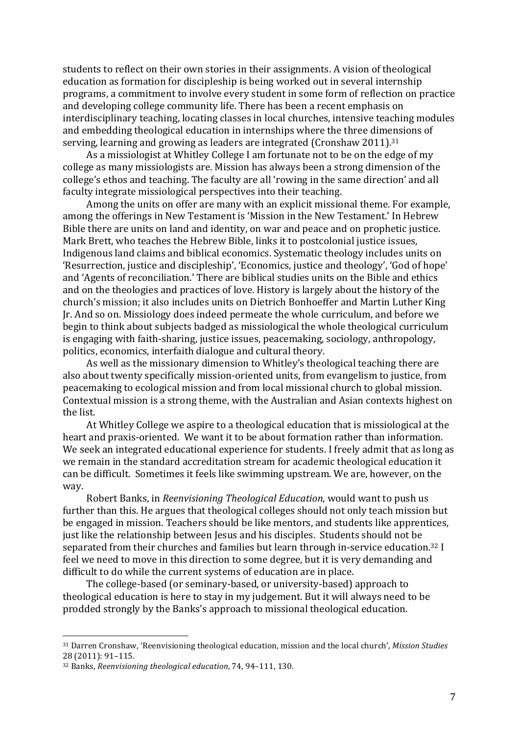students to reflect on their own stories in their assignments. A vision of theological education as formation for discipleship is being worked out in several internship programs, a commitment to involve every student in some form of reflection on practice and developing college community life. There has been a recent emphasis on interdisciplinary teaching, locating classes in local churches, intensive teaching modules and embedding theological education in internships where the three dimensions of serving, learning and growing as leaders are integrated (Cronshaw 2011).<sup>31</sup>

As a missiologist at Whitley College I am fortunate not to be on the edge of my college as many missiologists are. Mission has always been a strong dimension of the college's ethos and teaching. The faculty are all 'rowing in the same direction' and all faculty integrate missiological perspectives into their teaching.

Among the units on offer are many with an explicit missional theme. For example, among the offerings in New Testament is 'Mission in the New Testament.' In Hebrew Bible there are units on land and identity, on war and peace and on prophetic justice. Mark Brett, who teaches the Hebrew Bible, links it to postcolonial justice issues, Indigenous land claims and biblical economics. Systematic theology includes units on 'Resurrection, justice and discipleship', 'Economics, justice and theology', 'God of hope' and 'Agents of reconciliation.' There are biblical studies units on the Bible and ethics and on the theologies and practices of love. History is largely about the history of the church's mission; it also includes units on Dietrich Bonhoeffer and Martin Luther King Jr. And so on. Missiology does indeed permeate the whole curriculum, and before we begin to think about subjects badged as missiological the whole theological curriculum is engaging with faith-sharing, justice issues, peacemaking, sociology, anthropology, politics, economics, interfaith dialogue and cultural theory.

As well as the missionary dimension to Whitley's theological teaching there are also about twenty specifically mission-oriented units, from evangelism to justice, from peacemaking to ecological mission and from local missional church to global mission. Contextual mission is a strong theme, with the Australian and Asian contexts highest on the list.

At Whitley College we aspire to a theological education that is missiological at the heart and praxis-oriented. We want it to be about formation rather than information. We seek an integrated educational experience for students. I freely admit that as long as we remain in the standard accreditation stream for academic theological education it can be difficult. Sometimes it feels like swimming upstream. We are, however, on the way.

Robert Banks, in *Reenvisioning Theological Education*, would want to push us further than this. He argues that theological colleges should not only teach mission but be engaged in mission. Teachers should be like mentors, and students like apprentices, just like the relationship between Jesus and his disciples. Students should not be separated from their churches and families but learn through in-service education.<sup>32</sup> I feel we need to move in this direction to some degree, but it is very demanding and difficult to do while the current systems of education are in place.

The college-based (or seminary-based, or university-based) approach to theological education is here to stay in my judgement. But it will always need to be prodded strongly by the Banks's approach to missional theological education.

<sup>&</sup>lt;sup>31</sup> Darren Cronshaw, 'Reenvisioning theological education, mission and the local church', *Mission Studies* 28 (2011): 91–115.

<sup>&</sup>lt;sup>32</sup> Banks, *Reenvisioning theological education*, 74, 94-111, 130.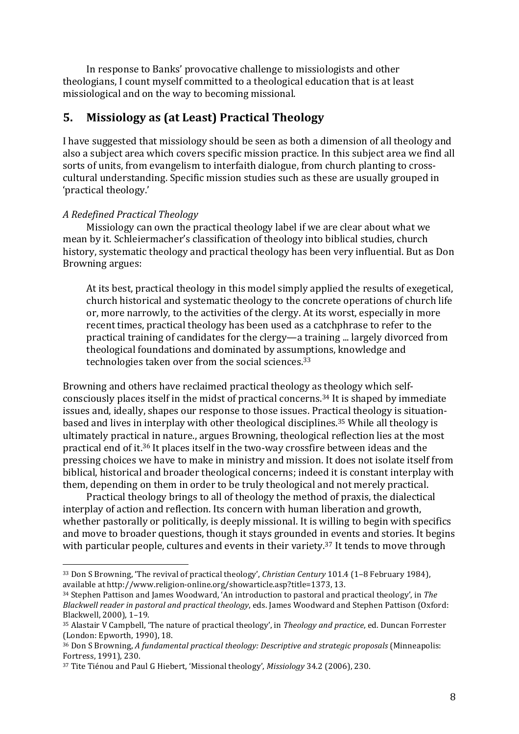In response to Banks' provocative challenge to missiologists and other theologians, I count myself committed to a theological education that is at least missiological and on the way to becoming missional.

#### **5.** Missiology as (at Least) Practical Theology

I have suggested that missiology should be seen as both a dimension of all theology and also a subject area which covers specific mission practice. In this subject area we find all sorts of units, from evangelism to interfaith dialogue, from church planting to crosscultural understanding. Specific mission studies such as these are usually grouped in 'practical theology.'

#### *A Redefined Practical Theology*

 

Missiology can own the practical theology label if we are clear about what we mean by it. Schleiermacher's classification of theology into biblical studies, church history, systematic theology and practical theology has been very influential. But as Don Browning argues:

At its best, practical theology in this model simply applied the results of exegetical, church historical and systematic theology to the concrete operations of church life or, more narrowly, to the activities of the clergy. At its worst, especially in more recent times, practical theology has been used as a catchphrase to refer to the practical training of candidates for the clergy—a training ... largely divorced from theological foundations and dominated by assumptions, knowledge and technologies taken over from the social sciences. $33$ 

Browning and others have reclaimed practical theology as theology which selfconsciously places itself in the midst of practical concerns.<sup>34</sup> It is shaped by immediate issues and, ideally, shapes our response to those issues. Practical theology is situationbased and lives in interplay with other theological disciplines.<sup>35</sup> While all theology is ultimately practical in nature., argues Browning, theological reflection lies at the most practical end of it.<sup>36</sup> It places itself in the two-way crossfire between ideas and the pressing choices we have to make in ministry and mission. It does not isolate itself from biblical, historical and broader theological concerns; indeed it is constant interplay with them, depending on them in order to be truly theological and not merely practical.

Practical theology brings to all of theology the method of praxis, the dialectical interplay of action and reflection. Its concern with human liberation and growth, whether pastorally or politically, is deeply missional. It is willing to begin with specifics and move to broader questions, though it stays grounded in events and stories. It begins with particular people, cultures and events in their variety. $37$  It tends to move through

<sup>&</sup>lt;sup>33</sup> Don S Browning, 'The revival of practical theology', *Christian Century* 101.4 (1–8 February 1984), available at http://www.religion-online.org/showarticle.asp?title=1373, 13.

<sup>&</sup>lt;sup>34</sup> Stephen Pattison and James Woodward, 'An introduction to pastoral and practical theology', in The *Blackwell reader in pastoral and practical theology*, eds. James Woodward and Stephen Pattison (Oxford: Blackwell, 2000), 1-19.

<sup>&</sup>lt;sup>35</sup> Alastair V Campbell, 'The nature of practical theology', in *Theology and practice*, ed. Duncan Forrester (London: Epworth, 1990), 18.

<sup>&</sup>lt;sup>36</sup> Don S Browning, *A* fundamental practical theology: Descriptive and strategic proposals (Minneapolis: Fortress, 1991), 230.

<sup>&</sup>lt;sup>37</sup> Tite Tiénou and Paul G Hiebert, 'Missional theology', *Missiology* 34.2 (2006), 230.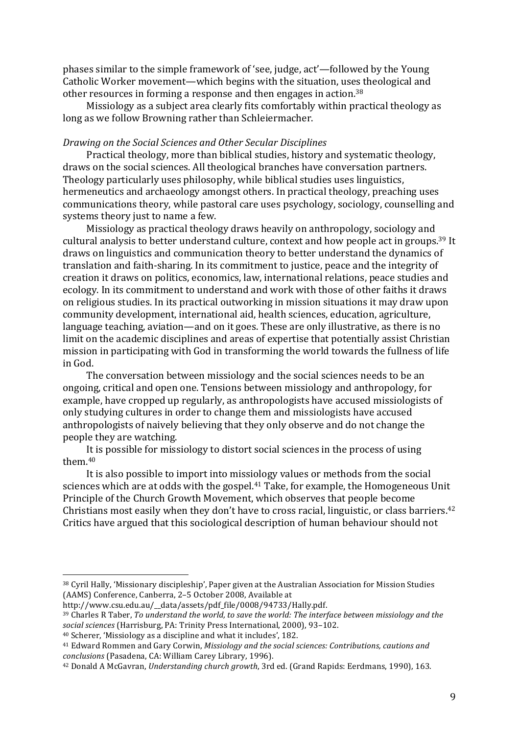phases similar to the simple framework of 'see, judge, act'—followed by the Young Catholic Worker movement—which begins with the situation, uses theological and other resources in forming a response and then engages in action.<sup>38</sup>

Missiology as a subject area clearly fits comfortably within practical theology as long as we follow Browning rather than Schleiermacher.

#### *Drawing on the Social Sciences and Other Secular Disciplines*

Practical theology, more than biblical studies, history and systematic theology, draws on the social sciences. All theological branches have conversation partners. Theology particularly uses philosophy, while biblical studies uses linguistics, hermeneutics and archaeology amongst others. In practical theology, preaching uses communications theory, while pastoral care uses psychology, sociology, counselling and systems theory just to name a few.

Missiology as practical theology draws heavily on anthropology, sociology and cultural analysis to better understand culture, context and how people act in groups.<sup>39</sup> It draws on linguistics and communication theory to better understand the dynamics of translation and faith-sharing. In its commitment to justice, peace and the integrity of creation it draws on politics, economics, law, international relations, peace studies and ecology. In its commitment to understand and work with those of other faiths it draws on religious studies. In its practical outworking in mission situations it may draw upon community development, international aid, health sciences, education, agriculture, language teaching, aviation—and on it goes. These are only illustrative, as there is no limit on the academic disciplines and areas of expertise that potentially assist Christian mission in participating with God in transforming the world towards the fullness of life in God.

The conversation between missiology and the social sciences needs to be an ongoing, critical and open one. Tensions between missiology and anthropology, for example, have cropped up regularly, as anthropologists have accused missiologists of only studying cultures in order to change them and missiologists have accused anthropologists of naively believing that they only observe and do not change the people they are watching.

It is possible for missiology to distort social sciences in the process of using them.40

It is also possible to import into missiology values or methods from the social sciences which are at odds with the gospel.<sup>41</sup> Take, for example, the Homogeneous Unit Principle of the Church Growth Movement, which observes that people become Christians most easily when they don't have to cross racial, linguistic, or class barriers.<sup>42</sup> Critics have argued that this sociological description of human behaviour should not

<sup>38</sup> Cyril Hally, 'Missionary discipleship', Paper given at the Australian Association for Mission Studies (AAMS) Conference, Canberra, 2-5 October 2008, Available at

http://www.csu.edu.au/\_\_data/assets/pdf\_file/0008/94733/Hally.pdf.

<sup>&</sup>lt;sup>39</sup> Charles R Taber, *To understand the world, to save the world: The interface between missiology and the* social sciences (Harrisburg, PA: Trinity Press International, 2000), 93-102.

 $40$  Scherer, 'Missiology as a discipline and what it includes', 182.

<sup>&</sup>lt;sup>41</sup> Edward Rommen and Gary Corwin, *Missiology and the social sciences: Contributions, cautions and conclusions* (Pasadena, CA: William Carey Library, 1996).

<sup>&</sup>lt;sup>42</sup> Donald A McGavran, *Understanding church growth*, 3rd ed. (Grand Rapids: Eerdmans, 1990), 163.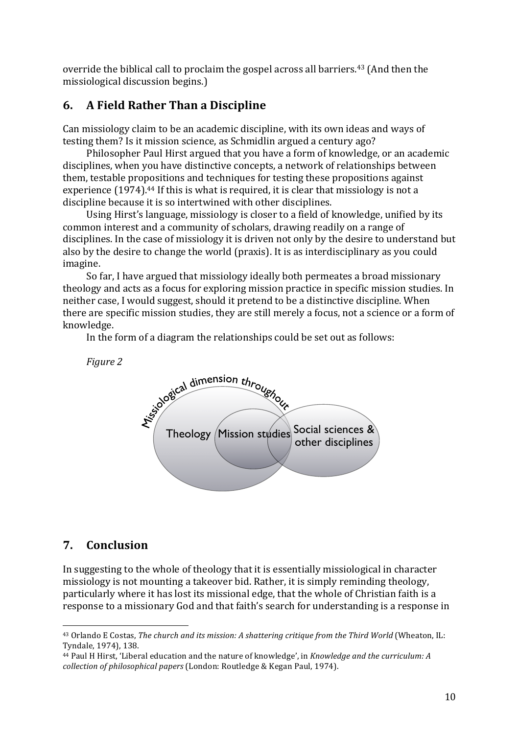override the biblical call to proclaim the gospel across all barriers.<sup>43</sup> (And then the missiological discussion begins.)

## **6. A Field Rather Than a Discipline**

Can missiology claim to be an academic discipline, with its own ideas and ways of testing them? Is it mission science, as Schmidlin argued a century ago?

Philosopher Paul Hirst argued that you have a form of knowledge, or an academic disciplines, when you have distinctive concepts, a network of relationships between them, testable propositions and techniques for testing these propositions against experience (1974).<sup>44</sup> If this is what is required, it is clear that missiology is not a discipline because it is so intertwined with other disciplines.

Using Hirst's language, missiology is closer to a field of knowledge, unified by its common interest and a community of scholars, drawing readily on a range of disciplines. In the case of missiology it is driven not only by the desire to understand but also by the desire to change the world (praxis). It is as interdisciplinary as you could imagine.

So far, I have argued that missiology ideally both permeates a broad missionary theology and acts as a focus for exploring mission practice in specific mission studies. In neither case, I would suggest, should it pretend to be a distinctive discipline. When there are specific mission studies, they are still merely a focus, not a science or a form of knowledge.

In the form of a diagram the relationships could be set out as follows:

*Figure 2*



### **7. Conclusion**

 

In suggesting to the whole of theology that it is essentially missiological in character missiology is not mounting a takeover bid. Rather, it is simply reminding theology, particularly where it has lost its missional edge, that the whole of Christian faith is a response to a missionary God and that faith's search for understanding is a response in

<sup>&</sup>lt;sup>43</sup> Orlando E Costas, *The church and its mission: A shattering critique from the Third World* (Wheaton, IL: Tyndale, 1974), 138.

<sup>&</sup>lt;sup>44</sup> Paul H Hirst, 'Liberal education and the nature of knowledge', in *Knowledge and the curriculum: A collection of philosophical papers* (London: Routledge & Kegan Paul, 1974).